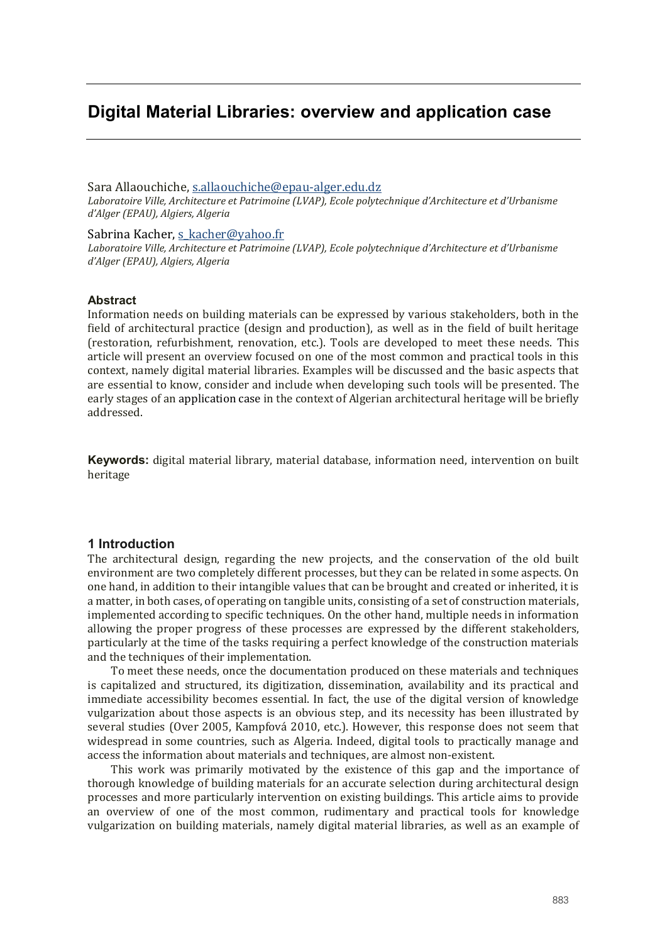# **Digital Material Libraries: overview and application case**

Sara Allaouchiche, s.allaouchiche@epau-alger.edu.dz Laboratoire Ville, Architecture et Patrimoine (LVAP), Ecole polytechnique d'Architecture et d'Urbanisme *dǯAlger (EPAU), Algiers, Algeria*

Sabrina Kacher, s\_kacher@yahoo.fr

Laboratoire Ville, Architecture et Patrimoine (LVAP), Ecole polytechnique d'Architecture et d'Urbanisme *dǯAlger (EPAU), Algiers, Algeria*

## **Abstract**

Information needs on building materials can be expressed by various stakeholders, both in the field of architectural practice (design and production), as well as in the field of built heritage (restoration, refurbishment, renovation, etc.). Tools are developed to meet these needs. This article will present an overview focused on one of the most common and practical tools in this context, namely digital material libraries. Examples will be discussed and the basic aspects that are essential to know, consider and include when developing such tools will be presented. The early stages of an application case in the context of Algerian architectural heritage will be briefly addressed.

**Keywords:** digital material library, material database, information need, intervention on built heritage

## **1 Introduction**

The architectural design, regarding the new projects, and the conservation of the old built environment are two completely different processes, but they can be related in some aspects. On one hand, in addition to their intangible values that can be brought and created or inherited, it is a matter, in both cases, of operating on tangible units, consisting of a set of construction materials, implemented according to specific techniques. On the other hand, multiple needs in information allowing the proper progress of these processes are expressed by the different stakeholders, particularly at the time of the tasks requiring a perfect knowledge of the construction materials and the techniques of their implementation.

To meet these needs, once the documentation produced on these materials and techniques is capitalized and structured, its digitization, dissemination, availability and its practical and immediate accessibility becomes essential. In fact, the use of the digital version of knowledge vulgarization about those aspects is an obvious step, and its necessity has been illustrated by several studies (Over 2005, Kampfová 2010, etc.). However, this response does not seem that widespread in some countries, such as Algeria. Indeed, digital tools to practically manage and access the information about materials and techniques, are almost non-existent.

This work was primarily motivated by the existence of this gap and the importance of thorough knowledge of building materials for an accurate selection during architectural design processes and more particularly intervention on existing buildings. This article aims to provide an overview of one of the most common, rudimentary and practical tools for knowledge vulgarization on building materials, namely digital material libraries, as well as an example of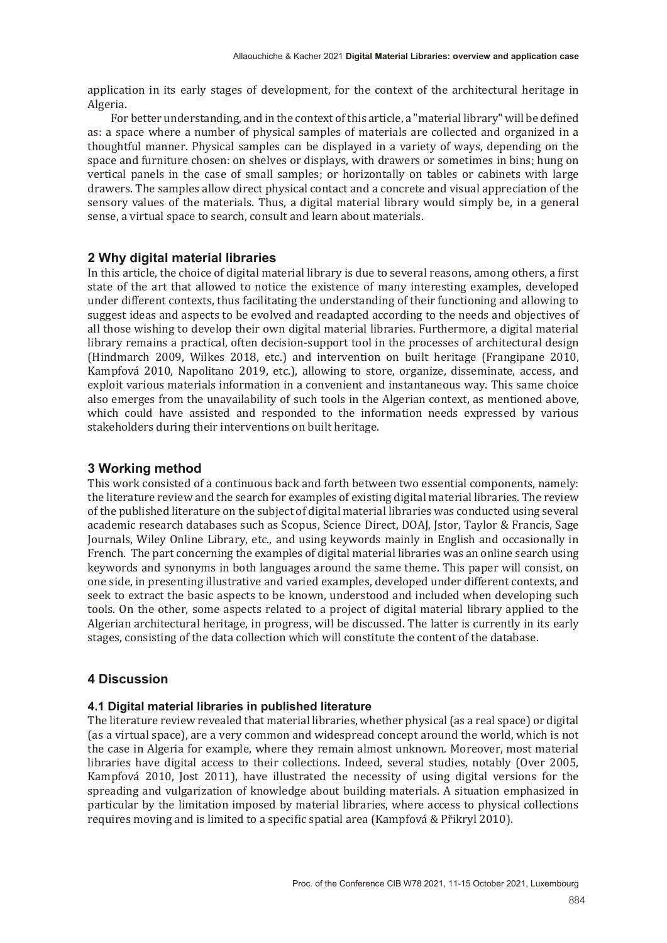application in its early stages of development, for the context of the architectural heritage in Algeria.

For better understanding, and in the context of this article, a "material library" will be defined as: a space where a number of physical samples of materials are collected and organized in a thoughtful manner. Physical samples can be displayed in a variety of ways, depending on the space and furniture chosen: on shelves or displays, with drawers or sometimes in bins; hung on vertical panels in the case of small samples; or horizontally on tables or cabinets with large drawers. The samples allow direct physical contact and a concrete and visual appreciation of the sensory values of the materials. Thus, a digital material library would simply be, in a general sense, a virtual space to search, consult and learn about materials.

## **2 Why digital material libraries**

In this article, the choice of digital material library is due to several reasons, among others, a first state of the art that allowed to notice the existence of many interesting examples, developed under different contexts, thus facilitating the understanding of their functioning and allowing to suggest ideas and aspects to be evolved and readapted according to the needs and objectives of all those wishing to develop their own digital material libraries. Furthermore, a digital material library remains a practical, often decision-support tool in the processes of architectural design (Hindmarch 2009, Wilkes 2018, etc.) and intervention on built heritage (Frangipane 2010, Kampfová 2010, Napolitano 2019, etc.), allowing to store, organize, disseminate, access, and exploit various materials information in a convenient and instantaneous way. This same choice also emerges from the unavailability of such tools in the Algerian context, as mentioned above, which could have assisted and responded to the information needs expressed by various stakeholders during their interventions on built heritage.

## **3 Working method**

This work consisted of a continuous back and forth between two essential components, namely: the literature review and the search for examples of existing digital material libraries. The review of the published literature on the subject of digital material libraries was conducted using several academic research databases such as Scopus, Science Direct, DOAJ, Jstor, Taylor & Francis, Sage Journals, Wiley Online Library, etc., and using keywords mainly in English and occasionally in French. The part concerning the examples of digital material libraries was an online search using keywords and synonyms in both languages around the same theme. This paper will consist, on one side, in presenting illustrative and varied examples, developed under different contexts, and seek to extract the basic aspects to be known, understood and included when developing such tools. On the other, some aspects related to a project of digital material library applied to the Algerian architectural heritage, in progress, will be discussed. The latter is currently in its early stages, consisting of the data collection which will constitute the content of the database.

# **4 Discussion**

## **4.1 Digital material libraries in published literature**

The literature review revealed that material libraries, whether physical (as a real space) or digital ȋas a virtual spaceȌ, are a very common and widespread concept around the world, which is not the case in Algeria for example, where they remain almost unknown. Moreover, most material libraries have digital access to their collections. Indeed, several studies, notably (Over 2005, Kampfová 2010, Jost 2011), have illustrated the necessity of using digital versions for the spreading and vulgarization of knowledge about building materials. A situation emphasized in particular by the limitation imposed by material libraries, where access to physical collections requires moving and is limited to a specific spatial area (Kampfová & Přikryl 2010).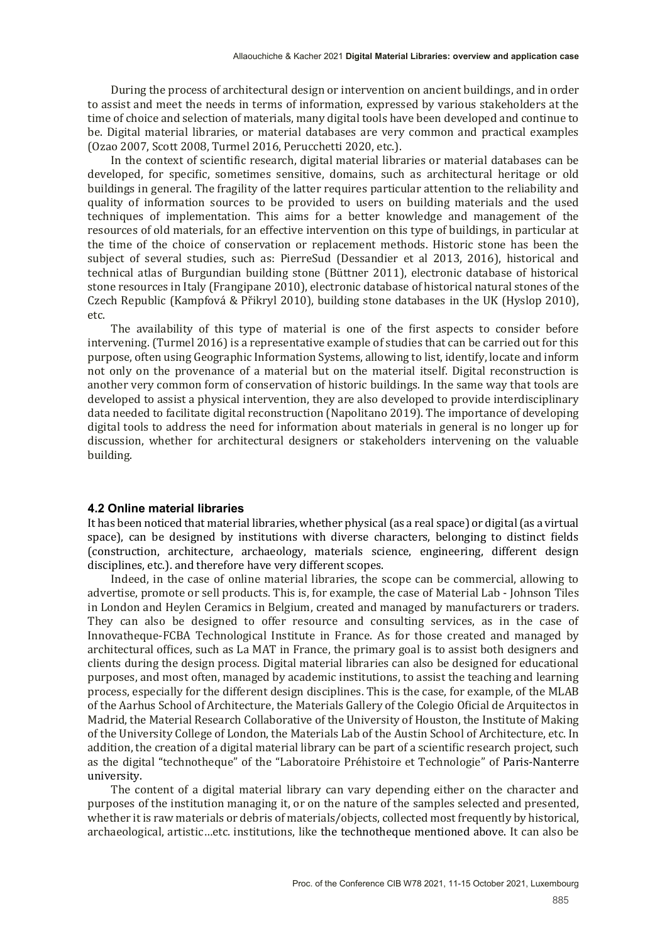During the process of architectural design or intervention on ancient buildings, and in order to assist and meet the needs in terms of information, expressed by various stakeholders at the time of choice and selection of materials, many digital tools have been developed and continue to be. Digital material libraries, or material databases are very common and practical examples  $[Ozao 2007, Scott 2008, Turnel 2016, Perucchetti 2020, etc.).$ 

In the context of scientific research, digital material libraries or material databases can be developed, for specific, sometimes sensitive, domains, such as architectural heritage or old buildings in general. The fragility of the latter requires particular attention to the reliability and quality of information sources to be provided to users on building materials and the used techniques of implementation. This aims for a better knowledge and management of the resources of old materials, for an effective intervention on this type of buildings, in particular at the time of the choice of conservation or replacement methods. Historic stone has been the subject of several studies, such as: PierreSud (Dessandier et al 2013, 2016), historical and technical atlas of Burgundian building stone (Büttner 2011), electronic database of historical stone resources in Italy (Frangipane 2010), electronic database of historical natural stones of the Czech Republic (Kampfová & Přikryl 2010), building stone databases in the UK  $(Hvslop 2010)$ , etc.

The availability of this type of material is one of the first aspects to consider before intervening.  $(Turnel 2016)$  is a representative example of studies that can be carried out for this purpose, often using Geographic Information Systems, allowing to list, identify, locate and inform not only on the provenance of a material but on the material itself. Digital reconstruction is another very common form of conservation of historic buildings. In the same way that tools are developed to assist a physical intervention, they are also developed to provide interdisciplinary data needed to facilitate digital reconstruction (Napolitano 2019). The importance of developing digital tools to address the need for information about materials in general is no longer up for discussion, whether for architectural designers or stakeholders intervening on the valuable building.

## **4.2 Online material libraries**

It has been noticed that material libraries, whether physical (as a real space) or digital (as a virtual space), can be designed by institutions with diverse characters, belonging to distinct fields ȋconstruction, architecture, archaeology, materials science, engineering, different design disciplines, etc.). and therefore have very different scopes.

Indeed, in the case of online material libraries, the scope can be commercial, allowing to advertise, promote or sell products. This is, for example, the case of Material Lab - Johnson Tiles in London and Heylen Ceramics in Belgium, created and managed by manufacturers or traders. They can also be designed to offer resource and consulting services, as in the case of Innovatheque-FCBA Technological Institute in France. As for those created and managed by architectural offices, such as La MAT in France, the primary goal is to assist both designers and clients during the design process. Digital material libraries can also be designed for educational purposes, and most often, managed by academic institutions, to assist the teaching and learning process, especially for the different design disciplines. This is the case, for example, of the MLAB of the Aarhus School of Architecture, the Materials Gallery of the Colegio Oficial de Arquitectos in Madrid, the Material Research Collaborative of the University of Houston, the Institute of Making of the University College of London, the Materials Lab of the Austin School of Architecture, etc. In addition, the creation of a digital material library can be part of a scientific research project, such as the digital "technotheque" of the "Laboratoire Préhistoire et Technologie" of Paris-Nanterre university.

The content of a digital material library can vary depending either on the character and purposes of the institution managing it, or on the nature of the samples selected and presented, whether it is raw materials or debris of materials/objects, collected most frequently by historical, archaeological, artistic…etc. institutions, like the technotheque mentioned above. It can also be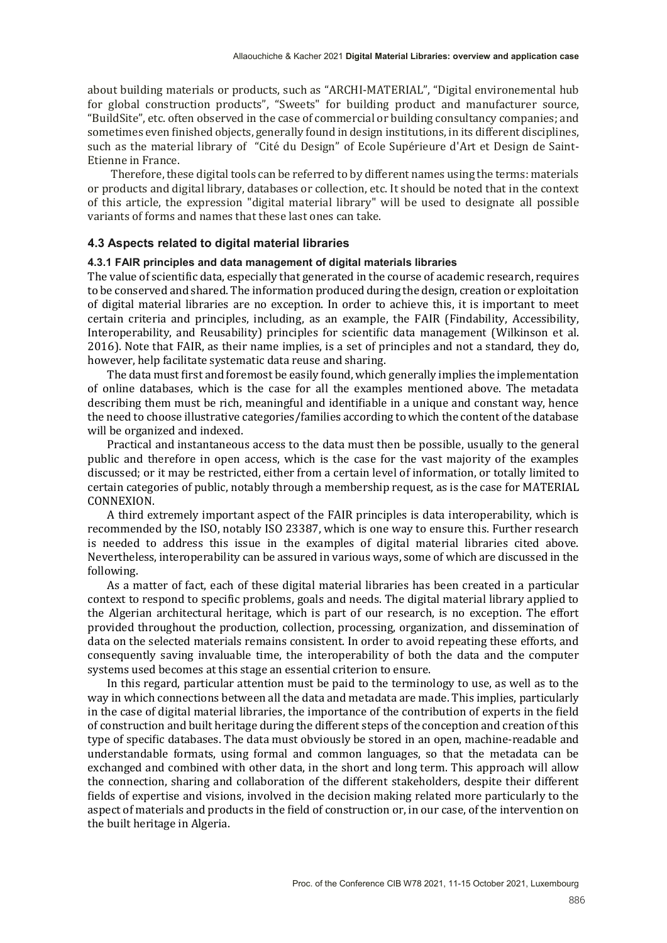about building materials or products, such as "ARCHI-MATERIAL", "Digital environemental hub for global construction products", "Sweets" for building product and manufacturer source, "BuildSite", etc. often observed in the case of commercial or building consultancy companies; and sometimes even finished objects, generally found in design institutions, in its different disciplines, such as the material library of "Cité du Design" of Ecole Supérieure d'Art et Design de Saint-Etienne in France.

Therefore, these digital tools can be referred to by different names using the terms: materials or products and digital library, databases or collection, etc. It should be noted that in the context of this article, the expression ̶digital material library̶ will be used to designate all possible variants of forms and names that these last ones can take.

## **4.3 Aspects related to digital material libraries**

## **4.3.1 FAIR principles and data management of digital materials libraries**

The value of scientific data, especially that generated in the course of academic research, requires to be conserved and shared. The information produced during the design, creation or exploitation of digital material libraries are no exception. In order to achieve this, it is important to meet certain criteria and principles, including, as an example, the FAIR (Findability, Accessibility, Interoperability, and Reusability) principles for scientific data management (Wilkinson et al. 2016). Note that FAIR, as their name implies, is a set of principles and not a standard, they do, however, help facilitate systematic data reuse and sharing.

The data must first and foremost be easily found, which generally implies the implementation of online databases, which is the case for all the examples mentioned above. The metadata describing them must be rich, meaningful and identifiable in a unique and constant way, hence the need to choose illustrative categories/families according to which the content of the database will be organized and indexed.

Practical and instantaneous access to the data must then be possible, usually to the general public and therefore in open access, which is the case for the vast majority of the examples discussed; or it may be restricted, either from a certain level of information, or totally limited to certain categories of public, notably through a membership request, as is the case for MATERIAL CONNEXION.

A third extremely important aspect of the FAIR principles is data interoperability, which is recommended by the ISO, notably ISO 23387, which is one way to ensure this. Further research is needed to address this issue in the examples of digital material libraries cited above. Nevertheless, interoperability can be assured in various ways, some of which are discussed in the following.

As a matter of fact, each of these digital material libraries has been created in a particular context to respond to specific problems, goals and needs. The digital material library applied to the Algerian architectural heritage, which is part of our research, is no exception. The effort provided throughout the production, collection, processing, organization, and dissemination of data on the selected materials remains consistent. In order to avoid repeating these efforts, and consequently saving invaluable time, the interoperability of both the data and the computer systems used becomes at this stage an essential criterion to ensure.

In this regard, particular attention must be paid to the terminology to use, as well as to the way in which connections between all the data and metadata are made. This implies, particularly in the case of digital material libraries, the importance of the contribution of experts in the field of construction and built heritage during the different steps of the conception and creation of this type of specific databases. The data must obviously be stored in an open, machine-readable and understandable formats, using formal and common languages, so that the metadata can be exchanged and combined with other data, in the short and long term. This approach will allow the connection, sharing and collaboration of the different stakeholders, despite their different fields of expertise and visions, involved in the decision making related more particularly to the aspect of materials and products in the field of construction or, in our case, of the intervention on the built heritage in Algeria.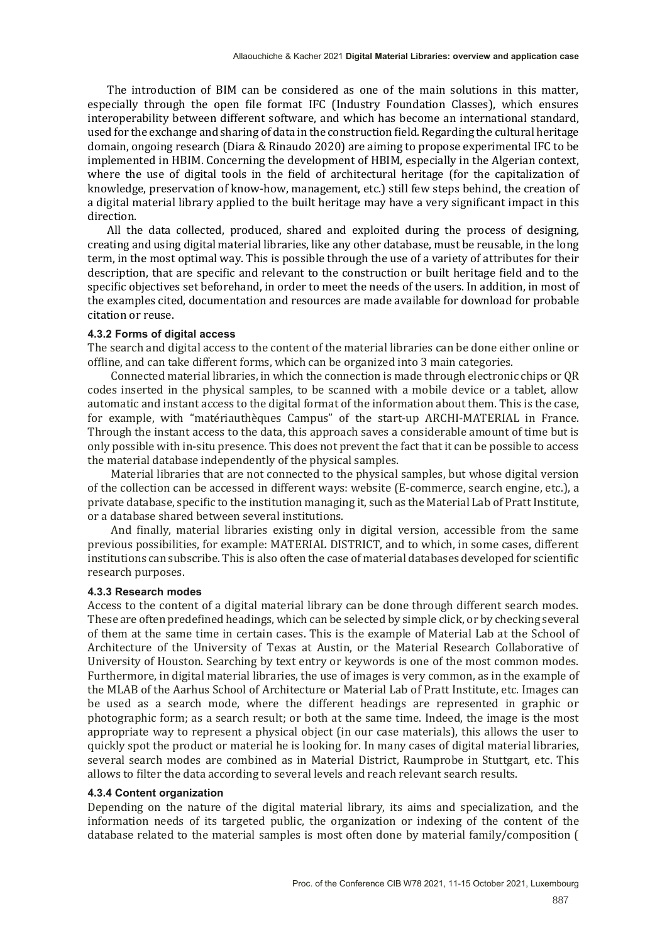The introduction of BIM can be considered as one of the main solutions in this matter, especially through the open file format IFC (Industry Foundation Classes), which ensures interoperability between different software, and which has become an international standard, used for the exchange and sharing of data in the construction field. Regarding the cultural heritage domain, ongoing research (Diara & Rinaudo 2020) are aiming to propose experimental IFC to be implemented in HBIM. Concerning the development of HBIM, especially in the Algerian context, where the use of digital tools in the field of architectural heritage (for the capitalization of knowledge, preservation of know-how, management, etc.) still few steps behind, the creation of a digital material library applied to the built heritage may have a very significant impact in this direction.

All the data collected, produced, shared and exploited during the process of designing, creating and using digital material libraries, like any other database, must be reusable, in the long term, in the most optimal way. This is possible through the use of a variety of attributes for their description, that are specific and relevant to the construction or built heritage field and to the specific objectives set beforehand, in order to meet the needs of the users. In addition, in most of the examples cited, documentation and resources are made available for download for probable citation or reuse.

#### **4.3.2 Forms of digital access**

The search and digital access to the content of the material libraries can be done either online or offline, and can take different forms, which can be organized into 3 main categories.

Connected material libraries, in which the connection is made through electronic chips or QR codes inserted in the physical samples, to be scanned with a mobile device or a tablet, allow automatic and instant access to the digital format of the information about them. This is the case, for example, with "matériauthèques Campus" of the start-up ARCHI-MATERIAL in France. Through the instant access to the data, this approach saves a considerable amount of time but is only possible with in-situ presence. This does not prevent the fact that it can be possible to access the material database independently of the physical samples.

Material libraries that are not connected to the physical samples, but whose digital version of the collection can be accessed in different ways: website  $(E$ -commerce, search engine, etc.), a private database, specific to the institution managing it, such as the Material Lab of Pratt Institute, or a database shared between several institutions.

And finally, material libraries existing only in digital version, accessible from the same previous possibilities, for example: MATERIAL DISTRICT, and to which, in some cases, different institutions can subscribe. This is also often the case of material databases developed for scientific research purposes.

#### **4.3.3 Research modes**

Access to the content of a digital material library can be done through different search modes. These are often predefined headings, which can be selected by simple click, or by checking several of them at the same time in certain cases. This is the example of Material Lab at the School of Architecture of the University of Texas at Austin, or the Material Research Collaborative of University of Houston. Searching by text entry or keywords is one of the most common modes. Furthermore, in digital material libraries, the use of images is very common, as in the example of the MLAB of the Aarhus School of Architecture or Material Lab of Pratt Institute, etc. Images can be used as a search mode, where the different headings are represented in graphic or photographic form; as a search result; or both at the same time. Indeed, the image is the most appropriate way to represent a physical object (in our case materials), this allows the user to quickly spot the product or material he is looking for. In many cases of digital material libraries, several search modes are combined as in Material District, Raumprobe in Stuttgart, etc. This allows to ϐilter the data according to several levels and reach relevant search results.

#### **4.3.4 Content organization**

Depending on the nature of the digital material library, its aims and specialization, and the information needs of its targeted public, the organization or indexing of the content of the database related to the material samples is most often done by material family/composition (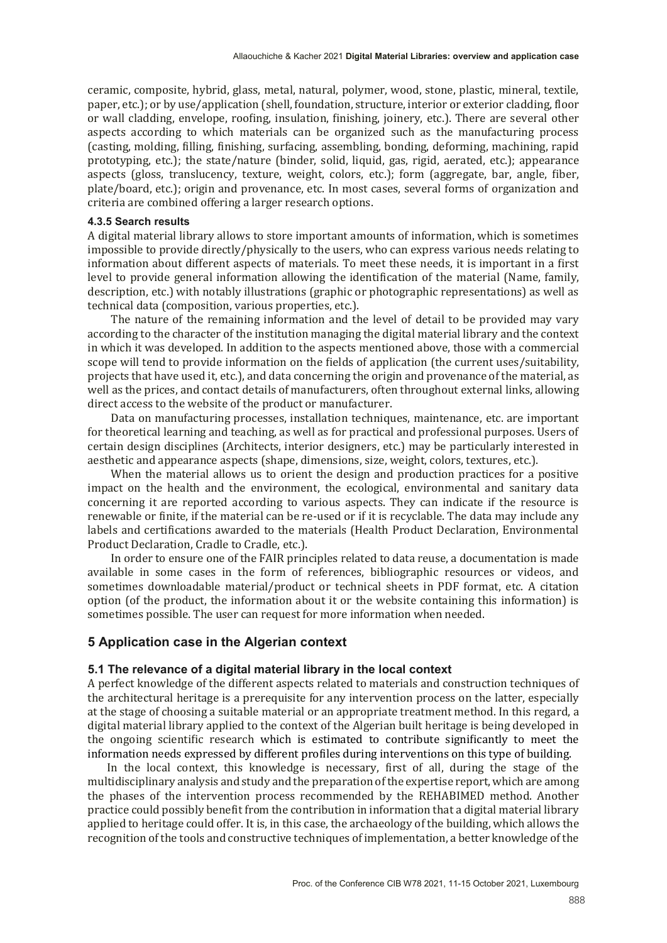ceramic, composite, hybrid, glass, metal, natural, polymer, wood, stone, plastic, mineral, textile, paper, etc.); or by use/application (shell, foundation, structure, interior or exterior cladding, floor or wall cladding, envelope, roofing, insulation, finishing, joinery, etc.). There are several other aspects according to which materials can be organized such as the manufacturing process ȋcasting, molding, ϐilling, ϐinishing, surfacing, assembling, bonding, deforming, machining, rapid prototyping, etc.); the state/nature (binder, solid, liquid, gas, rigid, aerated, etc.); appearance aspects (gloss, translucency, texture, weight, colors, etc.); form (aggregate, bar, angle, fiber, plate/board, etc.); origin and provenance, etc. In most cases, several forms of organization and criteria are combined offering a larger research options.

#### **4.3.5 Search results**

A digital material library allows to store important amounts of information, which is sometimes impossible to provide directly/physically to the users, who can express various needs relating to information about different aspects of materials. To meet these needs, it is important in a first level to provide general information allowing the identification of the material (Name, family, description, etc.) with notably illustrations (graphic or photographic representations) as well as technical data (composition, various properties, etc.).

The nature of the remaining information and the level of detail to be provided may vary according to the character of the institution managing the digital material library and the context in which it was developed. In addition to the aspects mentioned above, those with a commercial scope will tend to provide information on the fields of application (the current uses/suitability, projects that have used it, etc.), and data concerning the origin and provenance of the material, as well as the prices, and contact details of manufacturers, often throughout external links, allowing direct access to the website of the product or manufacturer.

Data on manufacturing processes, installation techniques, maintenance, etc. are important for theoretical learning and teaching, as well as for practical and professional purposes. Users of certain design disciplines (Architects, interior designers, etc.) may be particularly interested in aesthetic and appearance aspects (shape, dimensions, size, weight, colors, textures, etc.).

When the material allows us to orient the design and production practices for a positive impact on the health and the environment, the ecological, environmental and sanitary data concerning it are reported according to various aspects. They can indicate if the resource is renewable or finite, if the material can be re-used or if it is recyclable. The data may include any labels and certifications awarded to the materials (Health Product Declaration, Environmental Product Declaration, Cradle to Cradle, etc.).

In order to ensure one of the FAIR principles related to data reuse, a documentation is made available in some cases in the form of references, bibliographic resources or videos, and sometimes downloadable material/product or technical sheets in PDF format, etc. A citation option (of the product, the information about it or the website containing this information) is sometimes possible. The user can request for more information when needed.

# **5 Application case in the Algerian context**

## **5.1 The relevance of a digital material library in the local context**

A perfect knowledge of the different aspects related to materials and construction techniques of the architectural heritage is a prerequisite for any intervention process on the latter, especially at the stage of choosing a suitable material or an appropriate treatment method. In this regard, a digital material library applied to the context of the Algerian built heritage is being developed in the ongoing scientific research which is estimated to contribute significantly to meet the information needs expressed by different profiles during interventions on this type of building.

In the local context, this knowledge is necessary, first of all, during the stage of the multidisciplinary analysis and study and the preparation of the expertise report, which are among the phases of the intervention process recommended by the REHABIMED method. Another practice could possibly benefit from the contribution in information that a digital material library applied to heritage could offer. It is, in this case, the archaeology of the building, which allows the recognition of the tools and constructive techniques of implementation, a better knowledge of the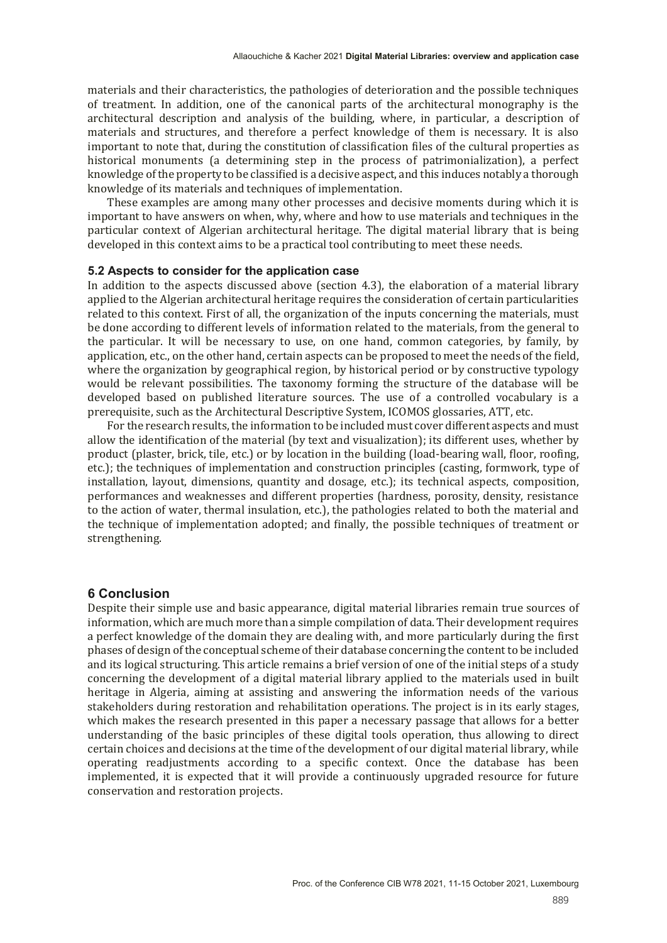materials and their characteristics, the pathologies of deterioration and the possible techniques of treatment. In addition, one of the canonical parts of the architectural monography is the architectural description and analysis of the building, where, in particular, a description of materials and structures, and therefore a perfect knowledge of them is necessary. It is also important to note that, during the constitution of classification files of the cultural properties as historical monuments (a determining step in the process of patrimonialization), a perfect knowledge of the property to be classified is a decisive aspect, and this induces notably a thorough knowledge of its materials and techniques of implementation.

These examples are among many other processes and decisive moments during which it is important to have answers on when, why, where and how to use materials and techniques in the particular context of Algerian architectural heritage. The digital material library that is being developed in this context aims to be a practical tool contributing to meet these needs.

#### **5.2 Aspects to consider for the application case**

In addition to the aspects discussed above (section 4.3), the elaboration of a material library applied to the Algerian architectural heritage requires the consideration of certain particularities related to this context. First of all, the organization of the inputs concerning the materials, must be done according to different levels of information related to the materials, from the general to the particular. It will be necessary to use, on one hand, common categories, by family, by application, etc., on the other hand, certain aspects can be proposed to meet the needs of the field, where the organization by geographical region, by historical period or by constructive typology would be relevant possibilities. The taxonomy forming the structure of the database will be developed based on published literature sources. The use of a controlled vocabulary is a prerequisite, such as the Architectural Descriptive System, ICOMOS glossaries, ATT, etc.

For the research results, the information to be included must cover different aspects and must allow the identification of the material (by text and visualization); its different uses, whether by product (plaster, brick, tile, etc.) or by location in the building (load-bearing wall, floor, roofing, etc.); the techniques of implementation and construction principles (casting, formwork, type of installation, layout, dimensions, quantity and dosage, etc.); its technical aspects, composition, performances and weaknesses and different properties (hardness, porosity, density, resistance to the action of water, thermal insulation, etc.), the pathologies related to both the material and the technique of implementation adopted; and finally, the possible techniques of treatment or strengthening.

## **6 Conclusion**

Despite their simple use and basic appearance, digital material libraries remain true sources of information, which are much more than a simple compilation of data. Their development requires a perfect knowledge of the domain they are dealing with, and more particularly during the first phases of design of the conceptual scheme of their database concerning the content to be included and its logical structuring. This article remains a brief version of one of the initial steps of a study concerning the development of a digital material library applied to the materials used in built heritage in Algeria, aiming at assisting and answering the information needs of the various stakeholders during restoration and rehabilitation operations. The project is in its early stages, which makes the research presented in this paper a necessary passage that allows for a better understanding of the basic principles of these digital tools operation, thus allowing to direct certain choices and decisions at the time of the development of our digital material library, while operating readjustments according to a specific context. Once the database has been implemented, it is expected that it will provide a continuously upgraded resource for future conservation and restoration projects.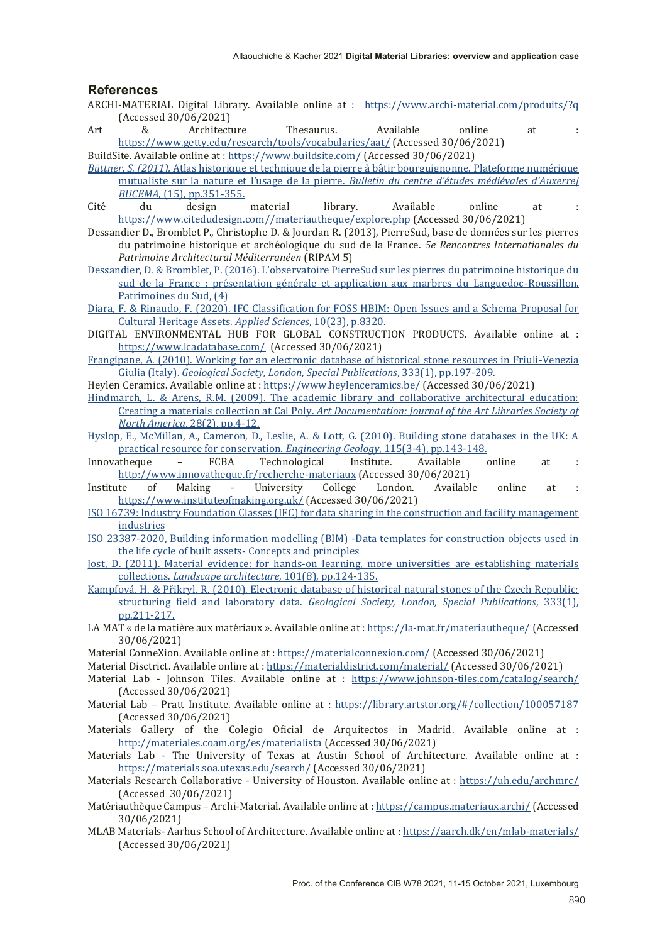## **References**

- ARCHI-MATERIAL Digital Library. Available online at : https://www.archi-material.com/produits/?q  $(Accessed 30/06/2021)$
- Art & Architecture Thesaurus. Available online at : https://www.getty.edu/research/tools/vocabularies/aat/ (Accessed 30/06/2021) BuildSite. Available online at : https://www.buildsite.com/ (Accessed 30/06/2021)

*Büttner, S. (2011).* Atlas historique et technique de la pierre à bâtir bourguignonne. Plateforme numérique mutualiste sur la nature et l'usage de la pierre. Bulletin du centre d'études médiévales d'Auxerrel *BUCEMA*, (15), pp.351-355.

- Cité du design material library. Available online at : https://www.citedudesign.com//materiautheque/explore.php (Accessed 30/06/2021)
- Dessandier D., Bromblet P., Christophe D. & Jourdan R. (2013), PierreSud, base de données sur les pierres du patrimoine historique et archéologique du sud de la France. *5e Rencontres Internationales du Patrimoine Architectural Méditerranéen* (RIPAM 5)
- Dessandier, D. & Bromblet, P. (2016). L'observatoire PierreSud sur les pierres du patrimoine historique du sud de la France : présentation générale et application aux marbres du Languedoc-Roussillon. Patrimoines du Sud,  $(4)$
- Diara, F. & Rinaudo, F. (2020). IFC Classification for FOSS HBIM: Open Issues and a Schema Proposal for Cultural Heritage Assets. *Applied Sciences*, 10(23), p.8320.
- DIGITAL ENVIRONMENTAL HUB FOR GLOBAL CONSTRUCTION PRODUCTS. Available online at : https://www.lcadatabase.com/ [Accessed 30/06/2021]
- Frangipane, A. (2010). Working for an electronic database of historical stone resources in Friuli-Venezia Giulia (Italy). *Geological Society, London, Special Publications*, 333(1), pp.197-209.
- Heylen Ceramics. Available online at : https://www.heylenceramics.be/ (Accessed 30/06/2021)
- Hindmarch, L. & Arens, R.M. (2009). The academic library and collaborative architectural education: Creating a materials collection at Cal Poly. *Art Documentation: Journal of the Art Libraries Society of North America*, 28(2), pp.4-12.
- Hyslop, E., McMillan, A., Cameron, D., Leslie, A. & Lott, G. (2010). Building stone databases in the UK: A practical resource for conservation. *Engineering Geology*, 115(3-4), pp.143-148.

Innovatheque - FCBA Technological Institute. Available online at : http://www.innovatheque.fr/recherche-materiaux (Accessed 30/06/2021)

- Institute of Making University College London. Available online at : https://www.instituteofmaking.org.uk/ (Accessed 30/06/2021)
- ISO 16739: Industry Foundation Classes (IFC) for data sharing in the construction and facility management industries
- ISO 23387-2020, Building information modelling (BIM) -Data templates for construction objects used in the life cycle of built assets- Concepts and principles
- Jost, D. (2011). Material evidence: for hands-on learning, more universities are establishing materials collections. *Landscape architecture*, 101(8), pp.124-135.
- Kampfová, H. & Přikryl, R. (2010). Electronic database of historical natural stones of the Czech Republic: structuring field and laboratory data. *Geological Society*, *London*, *Special Publications*, 333(1), pp.211-217.
- LA MAT « de la matière aux matériaux ». Available online at : https://la-mat.fr/materiautheque/ (Accessed  $30/06/2021$
- Material ConneXion. Available online at : https://materialconnexion.com/ [Accessed 30/06/2021]
- Material Disctrict. Available online at : https://materialdistrict.com/material/ (Accessed 30/06/2021)
- Material Lab Johnson Tiles. Available online at : https://www.johnson-tiles.com/catalog/search/  $(Accessed 30/06/2021)$
- Material Lab Pratt Institute. Available online at : https://library.artstor.org/#/collection/100057187  $(Accessed 30/06/2021)$
- Materials Gallery of the Colegio Oficial de Arquitectos in Madrid. Available online at : http://materiales.coam.org/es/materialista (Accessed 30/06/2021)
- Materials Lab The University of Texas at Austin School of Architecture. Available online at : https://materials.soa.utexas.edu/search/ (Accessed 30/06/2021)
- Materials Research Collaborative University of Houston. Available online at : https://uh.edu/archmrc/ (Accessed 30/06/2021)
- Matériauthèque Campus Archi-Material. Available online at : https://campus.materiaux.archi/ (Accessed 30/06/2021)
- MLAB Materials-Aarhus School of Architecture. Available online at : https://aarch.dk/en/mlab-materials/  $(Accessed 30/06/2021)$